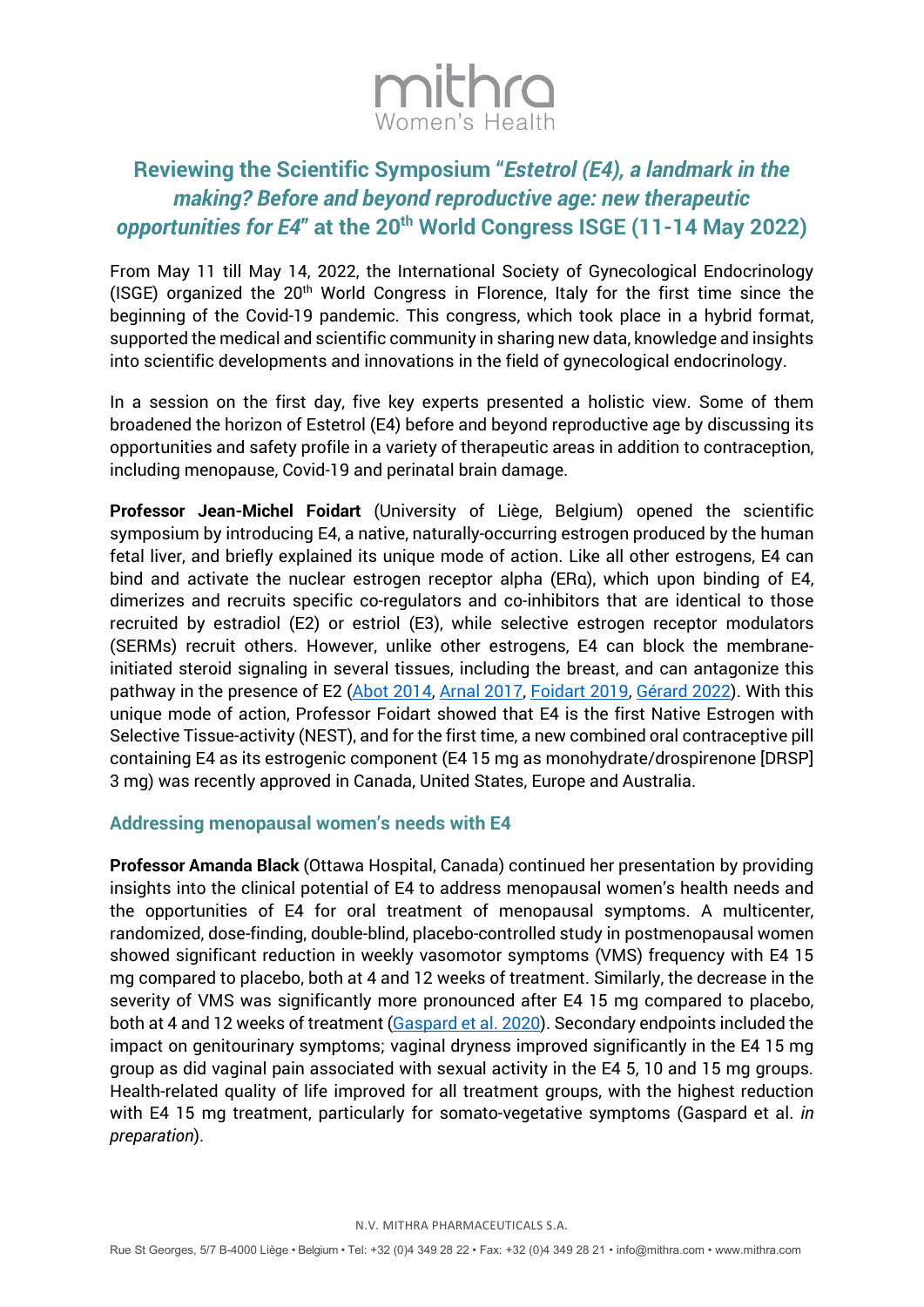

# **Reviewing the Scientific Symposium "***Estetrol (E4), a landmark in the making? Before and beyond reproductive age: new therapeutic opportunities for E4***" at the 20th World Congress ISGE (11-14 May 2022)**

From May 11 till May 14, 2022, the International Society of Gynecological Endocrinology (ISGE) organized the  $20<sup>th</sup>$  World Congress in Florence, Italy for the first time since the beginning of the Covid-19 pandemic. This congress, which took place in a hybrid format, supported the medical and scientific community in sharing new data, knowledge and insights into scientific developments and innovations in the field of gynecological endocrinology.

In a session on the first day, five key experts presented a holistic view. Some of them broadened the horizon of Estetrol (E4) before and beyond reproductive age by discussing its opportunities and safety profile in a variety of therapeutic areas in addition to contraception, including menopause, Covid-19 and perinatal brain damage.

**Professor Jean-Michel Foidart** (University of Liège, Belgium) opened the scientific symposium by introducing E4, a native, naturally-occurring estrogen produced by the human fetal liver, and briefly explained its unique mode of action. Like all other estrogens, E4 can bind and activate the nuclear estrogen receptor alpha (ERα), which upon binding of E4, dimerizes and recruits specific co-regulators and co-inhibitors that are identical to those recruited by estradiol (E2) or estriol (E3), while selective estrogen receptor modulators (SERMs) recruit others. However, unlike other estrogens, E4 can block the membraneinitiated steroid signaling in several tissues, including the breast, and can antagonize this pathway in the presence of E2 [\(Abot 2014,](https://www.ncbi.nlm.nih.gov/pmc/articles/PMC4287935/) [Arnal 2017,](https://journals.physiology.org/doi/full/10.1152/physrev.00024.2016?rfr_dat=cr_pub++0pubmed&url_ver=Z39.88-2003&rfr_id=ori%3Arid%3Acrossref.org) [Foidart 2019,](https://orbi.uliege.be/handle/2268/245234) [Gérard 2022\)](https://www.tandfonline.com/doi/full/10.1080/17512433.2022.2054413). With this unique mode of action, Professor Foidart showed that E4 is the first Native Estrogen with Selective Tissue-activity (NEST), and for the first time, a new combined oral contraceptive pill containing E4 as its estrogenic component (E4 15 mg as monohydrate/drospirenone [DRSP] 3 mg) was recently approved in Canada, United States, Europe and Australia.

#### **Addressing menopausal women's needs with E4**

**Professor Amanda Black** (Ottawa Hospital, Canada) continued her presentation by providing insights into the clinical potential of E4 to address menopausal women's health needs and the opportunities of E4 for oral treatment of menopausal symptoms. A multicenter, randomized, dose-finding, double-blind, placebo-controlled study in postmenopausal women showed significant reduction in weekly vasomotor symptoms (VMS) frequency with E4 15 mg compared to placebo, both at 4 and 12 weeks of treatment. Similarly, the decrease in the severity of VMS was significantly more pronounced after E4 15 mg compared to placebo, both at 4 and 12 weeks of treatment [\(Gaspard](https://www.ncbi.nlm.nih.gov/pmc/articles/PMC7386865/) et al. 2020). Secondary endpoints included the impact on genitourinary symptoms; vaginal dryness improved significantly in the E4 15 mg group as did vaginal pain associated with sexual activity in the E4 5, 10 and 15 mg groups. Health-related quality of life improved for all treatment groups, with the highest reduction with E4 15 mg treatment, particularly for somato-vegetative symptoms (Gaspard et al. *in preparation*).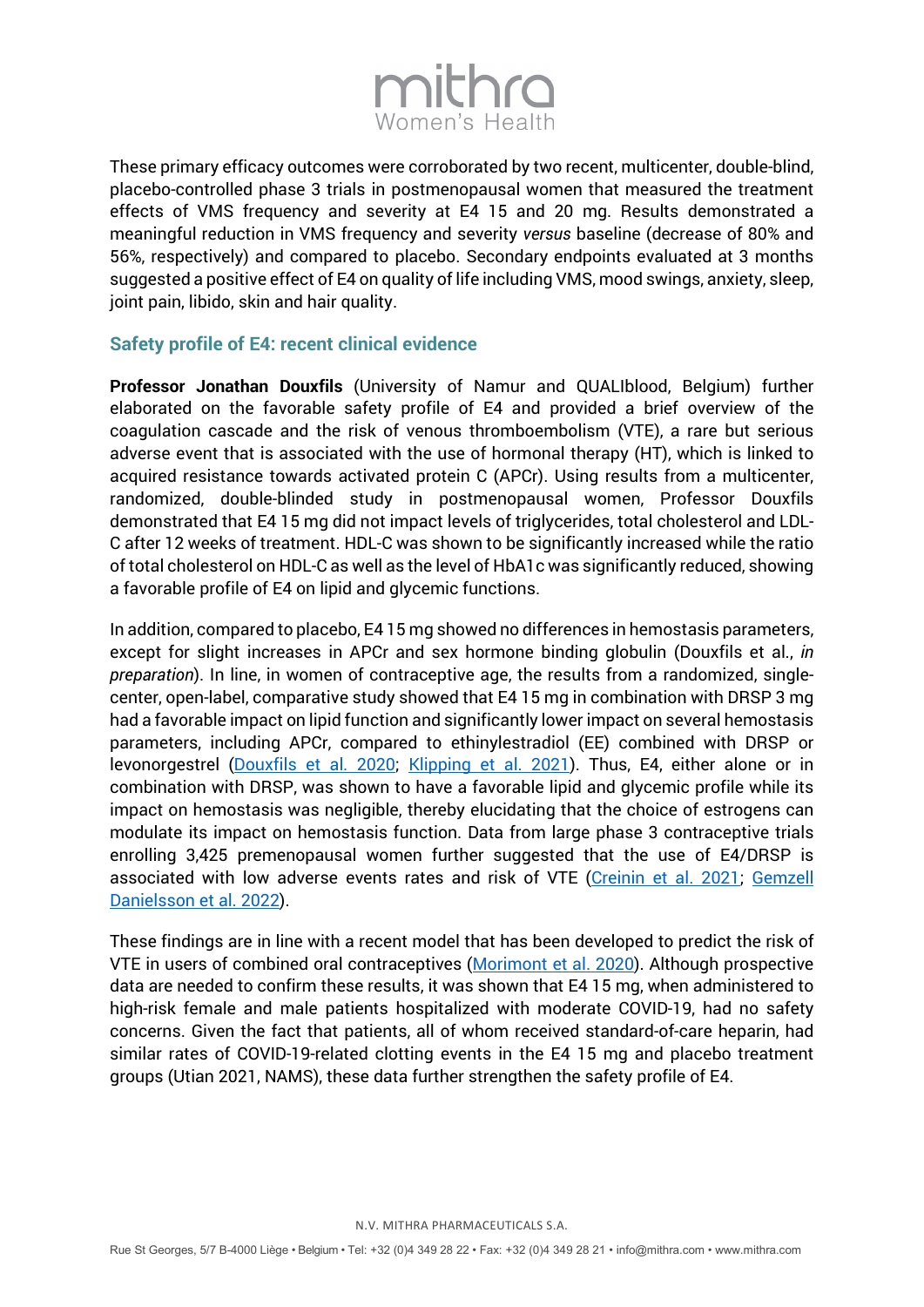

These primary efficacy outcomes were corroborated by two recent, multicenter, double-blind, placebo-controlled phase 3 trials in postmenopausal women that measured the treatment effects of VMS frequency and severity at E4 15 and 20 mg. Results demonstrated a meaningful reduction in VMS frequency and severity *versus* baseline (decrease of 80% and 56%, respectively) and compared to placebo. Secondary endpoints evaluated at 3 months suggested a positive effect of E4 on quality of life including VMS, mood swings, anxiety, sleep, joint pain, libido, skin and hair quality.

### **Safety profile of E4: recent clinical evidence**

**Professor Jonathan Douxfils** (University of Namur and QUALIblood, Belgium) further elaborated on the favorable safety profile of E4 and provided a brief overview of the coagulation cascade and the risk of venous thromboembolism (VTE), a rare but serious adverse event that is associated with the use of hormonal therapy (HT), which is linked to acquired resistance towards activated protein C (APCr). Using results from a multicenter, randomized, double-blinded study in postmenopausal women, Professor Douxfils demonstrated that E4 15 mg did not impact levels of triglycerides, total cholesterol and LDL-C after 12 weeks of treatment. HDL-C was shown to be significantly increased while the ratio of total cholesterol on HDL-C as well as the level of HbA1c was significantly reduced, showing a favorable profile of E4 on lipid and glycemic functions.

In addition, compared to placebo, E4 15 mg showed no differences in hemostasis parameters, except for slight increases in APCr and sex hormone binding globulin (Douxfils et al., *in preparation*). In line, in women of contraceptive age, the results from a randomized, singlecenter, open-label, comparative study showed that E4 15 mg in combination with DRSP 3 mg had a favorable impact on lipid function and significantly lower impact on several hemostasis parameters, including APCr, compared to ethinylestradiol (EE) combined with DRSP or levonorgestrel [\(Douxfils et al. 2020;](https://www.contraceptionjournal.org/article/S0010-7824(20)30338-3/fulltext) [Klipping et al. 2021\)](https://www.contraceptionjournal.org/article/S0010-7824(20)30338-3/fulltext). Thus, E4, either alone or in combination with DRSP, was shown to have a favorable lipid and glycemic profile while its impact on hemostasis was negligible, thereby elucidating that the choice of estrogens can modulate its impact on hemostasis function. Data from large phase 3 contraceptive trials enrolling 3,425 premenopausal women further suggested that the use of E4/DRSP is associated with low adverse events rates and risk of VTE [\(Creinin et al. 2021;](https://www.contraceptionjournal.org/article/S0010-7824(21)00149-9/fulltext) [Gemzell](https://obgyn.onlinelibrary.wiley.com/doi/10.1111/1471-0528.16840)  [Danielsson et al. 2022\)](https://obgyn.onlinelibrary.wiley.com/doi/10.1111/1471-0528.16840).

These findings are in line with a recent model that has been developed to predict the risk of VTE in users of combined oral contraceptives [\(Morimont et al. 2020\)](https://www.thrombosisresearch.com/article/S0049-3848(20)30444-8/fulltext). Although prospective data are needed to confirm these results, it was shown that E4 15 mg, when administered to high-risk female and male patients hospitalized with moderate COVID-19, had no safety concerns. Given the fact that patients, all of whom received standard-of-care heparin, had similar rates of COVID-19-related clotting events in the E4 15 mg and placebo treatment groups (Utian 2021, NAMS), these data further strengthen the safety profile of E4.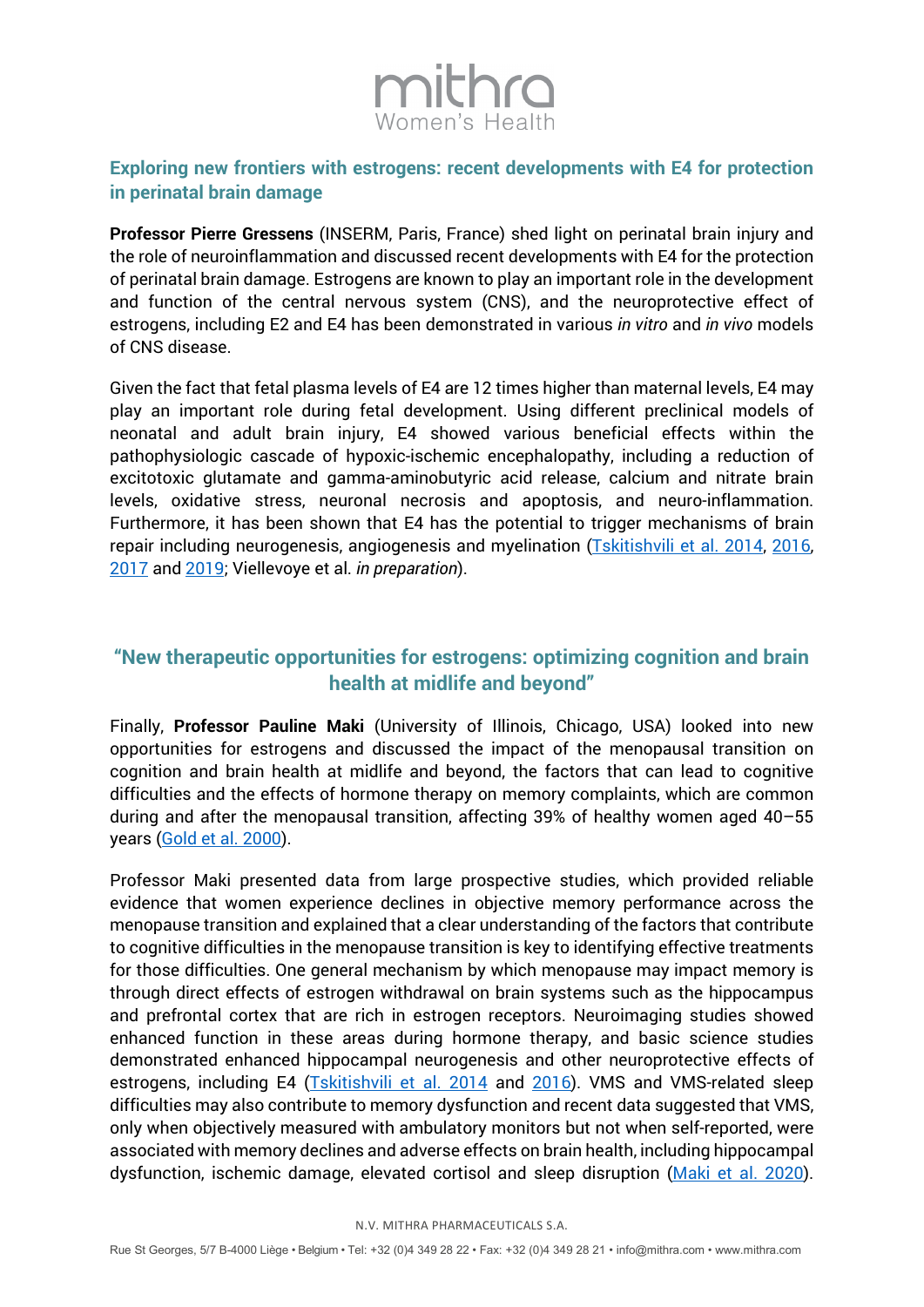# mithro

# **Exploring new frontiers with estrogens: recent developments with E4 for protection in perinatal brain damage**

**Professor Pierre Gressens** (INSERM, Paris, France) shed light on perinatal brain injury and the role of neuroinflammation and discussed recent developments with E4 for the protection of perinatal brain damage. Estrogens are known to play an important role in the development and function of the central nervous system (CNS), and the neuroprotective effect of estrogens, including E2 and E4 has been demonstrated in various *in vitro* and *in vivo* models of CNS disease.

Given the fact that fetal plasma levels of E4 are 12 times higher than maternal levels, E4 may play an important role during fetal development. Using different preclinical models of neonatal and adult brain injury, E4 showed various beneficial effects within the pathophysiologic cascade of hypoxic-ischemic encephalopathy, including a reduction of excitotoxic glutamate and gamma-aminobutyric acid release, calcium and nitrate brain levels, oxidative stress, neuronal necrosis and apoptosis, and neuro-inflammation. Furthermore, it has been shown that E4 has the potential to trigger mechanisms of brain repair including neurogenesis, angiogenesis and myelination [\(Tskitishvili et al. 2014,](https://www.sciencedirect.com/science/article/abs/pii/S001448861400243X?via%3Dihub) 2016, [2017](https://www.ncbi.nlm.nih.gov/pmc/articles/PMC5118942/) an[d 2019;](https://link.springer.com/chapter/10.1007/978-3-030-11355-1_4) Viellevoye et al. *in preparation*).

# **"New therapeutic opportunities for estrogens: optimizing cognition and brain health at midlife and beyond"**

Finally, **Professor Pauline Maki** (University of Illinois, Chicago, USA) looked into new opportunities for estrogens and discussed the impact of the menopausal transition on cognition and brain health at midlife and beyond, the factors that can lead to cognitive difficulties and the effects of hormone therapy on memory complaints, which are common during and after the menopausal transition, affecting 39% of healthy women aged 40–55 years [\(Gold et al. 2000\)](https://academic.oup.com/aje/article/152/5/463/149545?login=false).

Professor Maki presented data from large prospective studies, which provided reliable evidence that women experience declines in objective memory performance across the menopause transition and explained that a clear understanding of the factors that contribute to cognitive difficulties in the menopause transition is key to identifying effective treatments for those difficulties. One general mechanism by which menopause may impact memory is through direct effects of estrogen withdrawal on brain systems such as the hippocampus and prefrontal cortex that are rich in estrogen receptors. Neuroimaging studies showed enhanced function in these areas during hormone therapy, and basic science studies demonstrated enhanced hippocampal neurogenesis and other neuroprotective effects of estrogens, including E4 [\(Tskitishvili et al. 2014](https://www.sciencedirect.com/science/article/abs/pii/S001448861400243X?via%3Dihub) and [2016\)](https://www.ncbi.nlm.nih.gov/pmc/articles/PMC5085115/). VMS and VMS-related sleep difficulties may also contribute to memory dysfunction and recent data suggested that VMS, only when objectively measured with ambulatory monitors but not when self-reported, were associated with memory declines and adverse effects on brain health, including hippocampal dysfunction, ischemic damage, elevated cortisol and sleep disruption [\(Maki et al. 2020\)](https://www.ncbi.nlm.nih.gov/pmc/articles/PMC7538803/).